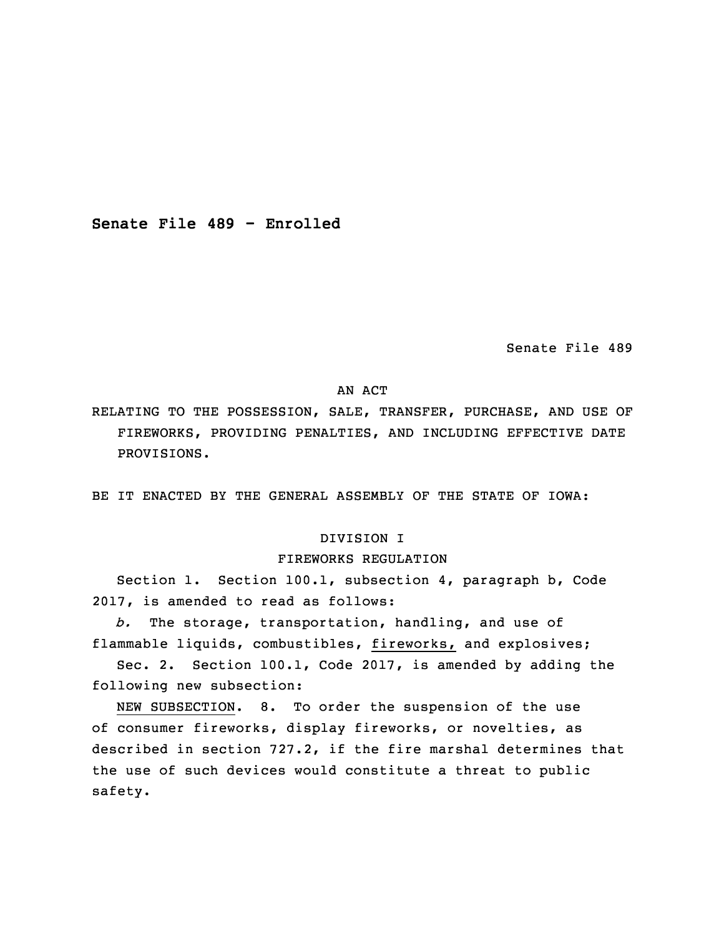**Senate File 489 - Enrolled**

Senate File 489

# AN ACT

RELATING TO THE POSSESSION, SALE, TRANSFER, PURCHASE, AND USE OF FIREWORKS, PROVIDING PENALTIES, AND INCLUDING EFFECTIVE DATE PROVISIONS.

BE IT ENACTED BY THE GENERAL ASSEMBLY OF THE STATE OF IOWA:

### DIVISION I

### FIREWORKS REGULATION

Section 1. Section 100.1, subsection 4, paragraph b, Code 2017, is amended to read as follows:

5 *b.* The storage, transportation, handling, and use of flammable liquids, combustibles, fireworks, and explosives;

Sec. 2. Section 100.1, Code 2017, is amended by adding the following new subsection:

NEW SUBSECTION. 8. To order the suspension of the use of consumer fireworks, display fireworks, or novelties, as described in section 727.2, if the fire marshal determines that the use of such devices would constitute <sup>a</sup> threat to public safety.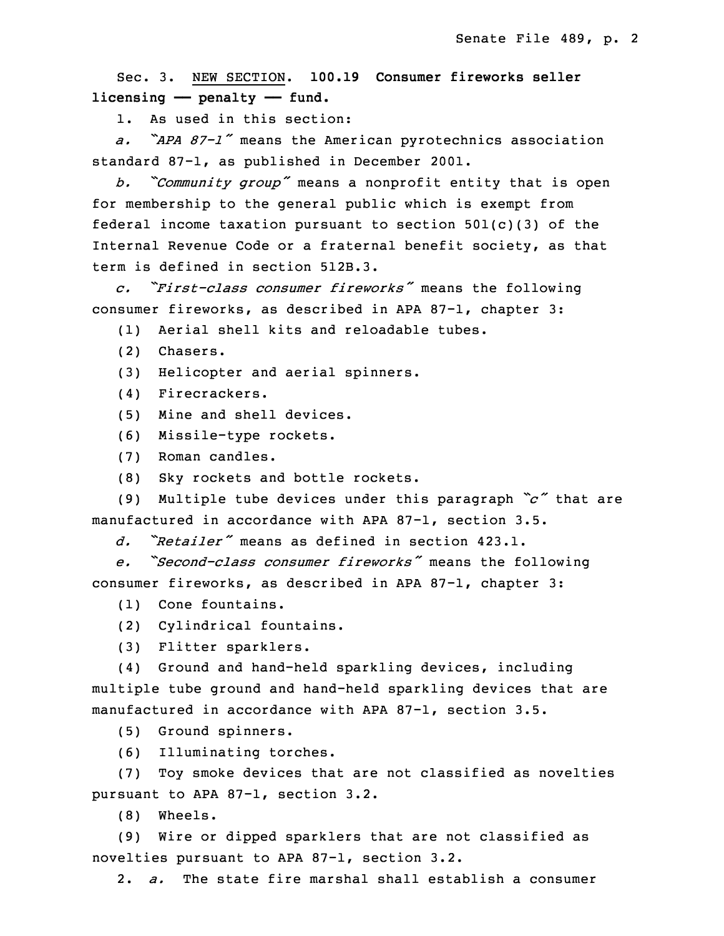Sec. 3. NEW SECTION. **100.19 Consumer fireworks seller** 15 **licensing —— penalty —— fund.**

1. As used in this section:

<sup>17</sup> *a. "APA 87-1"* means the American pyrotechnics association standard 87-1, as published in December 2001.

<sup>19</sup> *b. "Community group"* means <sup>a</sup> nonprofit entity that is open for membership to the general public which is exempt from federal income taxation pursuant to section  $501(c)(3)$  of the Internal Revenue Code or <sup>a</sup> fraternal benefit society, as that term is defined in section 512B.3.

 *c. "First-class consumer fireworks"* means the following 25 consumer fireworks, as described in APA 87-1, chapter 3:

(1) Aerial shell kits and reloadable tubes.

- (2) Chasers.
- (3) Helicopter and aerial spinners.
- (4) Firecrackers.

(5) Mine and shell devices.

31 (6) Missile-type rockets.

(7) Roman candles.

(8) Sky rockets and bottle rockets.

<sup>34</sup> (9) Multiple tube devices under this paragraph *"c"* that are manufactured in accordance with APA 87-1, section 3.5.

*d. "Retailer"* means as defined in section 423.1.

 *e. "Second-class consumer fireworks"* means the following consumer fireworks, as described in APA 87-1, chapter 3:

(1) Cone fountains.

5 (2) Cylindrical fountains.

6 (3) Flitter sparklers.

(4) Ground and hand-held sparkling devices, including multiple tube ground and hand-held sparkling devices that are manufactured in accordance with APA 87-1, section 3.5.

(5) Ground spinners.

(6) Illuminating torches.

 (7) Toy smoke devices that are not classified as novelties pursuant to APA 87-1, section 3.2.

(8) Wheels.

15 (9) Wire or dipped sparklers that are not classified as novelties pursuant to APA 87-1, section 3.2.

2. *a.* The state fire marshal shall establish a consumer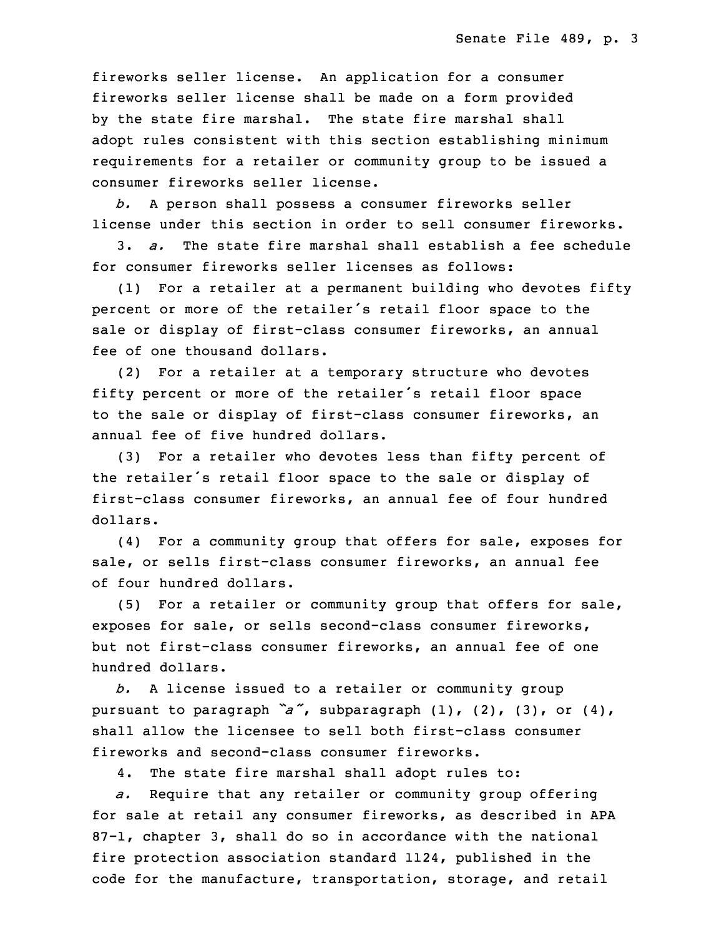fireworks seller license. An application for a consumer fireworks seller license shall be made on a form provided by the state fire marshal. The state fire marshal shall adopt rules consistent with this section establishing minimum requirements for <sup>a</sup> retailer or community group to be issued <sup>a</sup> consumer fireworks seller license.

 *b.* <sup>A</sup> person shall possess <sup>a</sup> consumer fireworks seller license under this section in order to sell consumer fireworks.

26 3. *a.* The state fire marshal shall establish <sup>a</sup> fee schedule for consumer fireworks seller licenses as follows:

 $(1)$  For a retailer at a permanent building who devotes fifty percent or more of the retailer's retail floor space to the sale or display of first-class consumer fireworks, an annual fee of one thousand dollars.

(2) For a retailer at a temporary structure who devotes fifty percent or more of the retailer's retail floor space to the sale or display of first-class consumer fireworks, an annual fee of five hundred dollars.

 (3) For <sup>a</sup> retailer who devotes less than fifty percent of the retailer's retail floor space to the sale or display of first-class consumer fireworks, an annual fee of four hundred dollars.

(4) For a community group that offers for sale, exposes for sale, or sells first-class consumer fireworks, an annual fee of four hundred dollars.

 $(5)$  For a retailer or community group that offers for sale, exposes for sale, or sells second-class consumer fireworks, but not first-class consumer fireworks, an annual fee of one hundred dollars.

 *b.* <sup>A</sup> license issued to <sup>a</sup> retailer or community group pursuant to paragraph "a", subparagraph (1), (2), (3), or (4), shall allow the licensee to sell both first-class consumer fireworks and second-class consumer fireworks.

4. The state fire marshal shall adopt rules to:

a. Require that any retailer or community group offering for sale at retail any consumer fireworks, as described in APA  $87-1$ , chapter 3, shall do so in accordance with the national fire protection association standard 1124, published in the code for the manufacture, transportation, storage, and retail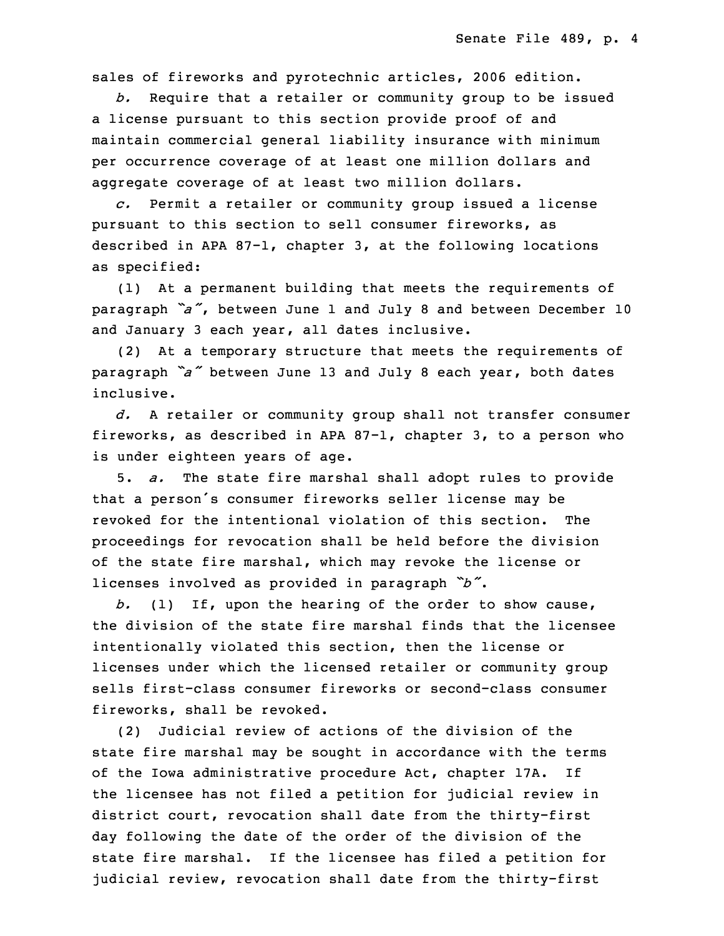sales of fireworks and pyrotechnic articles, 2006 edition.

b. Require that a retailer or community group to be issued <sup>a</sup> license pursuant to this section provide proof of and maintain commercial general liability insurance with minimum per occurrence coverage of at least one million dollars and aggregate coverage of at least two million dollars.

28 *c.* Permit <sup>a</sup> retailer or community group issued <sup>a</sup> license pursuant to this section to sell consumer fireworks, as described in APA 87-1, chapter 3, at the following locations as specified:

(1) At a permanent building that meets the requirements of <sup>33</sup> paragraph *"a"*, between June <sup>1</sup> and July <sup>8</sup> and between December <sup>10</sup> and January 3 each year, all dates inclusive.

(2) At a temporary structure that meets the requirements of paragraph *"a"* between June <sup>13</sup> and July <sup>8</sup> each year, both dates inclusive.

3 *d.* <sup>A</sup> retailer or community group shall not transfer consumer fireworks, as described in APA 87-1, chapter 3, to <sup>a</sup> person who is under eighteen years of age.

6 5. *a.* The state fire marshal shall adopt rules to provide that a person's consumer fireworks seller license may be revoked for the intentional violation of this section. The 9 proceedings for revocation shall be held before the division of the state fire marshal, which may revoke the license or licenses involved as provided in paragraph *"b"*.

 *b.* (1) If, upon the hearing of the order to show cause, the division of the state fire marshal finds that the licensee intentionally violated this section, then the license or licenses under which the licensed retailer or community group sells first-class consumer fireworks or second-class consumer fireworks, shall be revoked.

18 (2) Judicial review of actions of the division of the state fire marshal may be sought in accordance with the terms of the Iowa administrative procedure Act, chapter 17A. If the licensee has not filed <sup>a</sup> petition for judicial review in district court, revocation shall date from the thirty-first day following the date of the order of the division of the state fire marshal. If the licensee has filed <sup>a</sup> petition for judicial review, revocation shall date from the thirty-first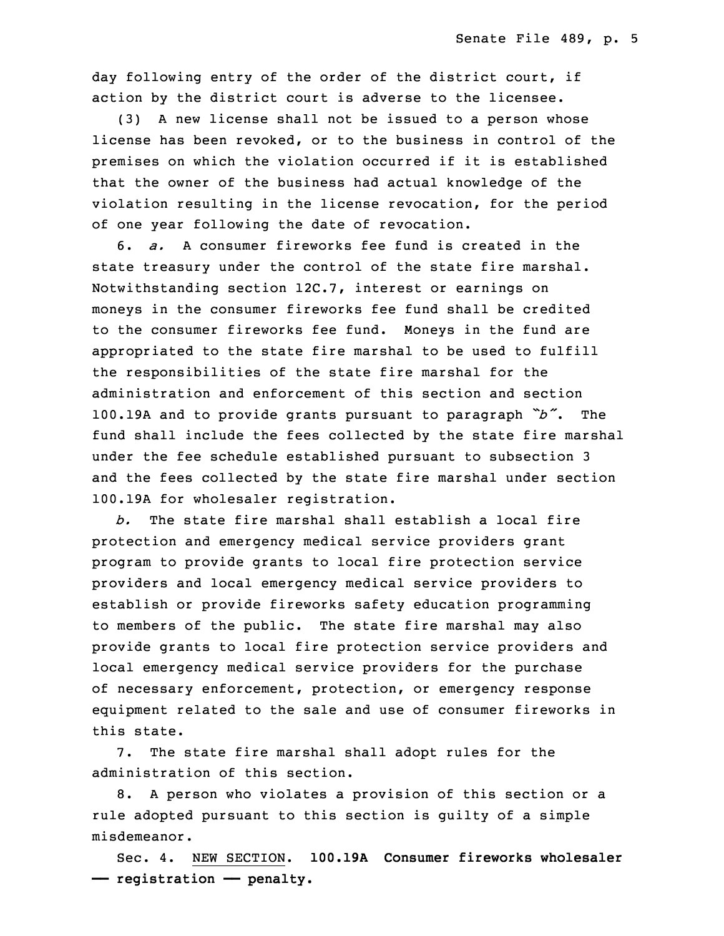day following entry of the order of the district court, if action by the district court is adverse to the licensee.

 $(3)$  A new license shall not be issued to a person whose license has been revoked, or to the business in control of the premises on which the violation occurred if it is established that the owner of the business had actual knowledge of the violation resulting in the license revocation, for the period of one year following the date of revocation.

34 6. *a.* A consumer fireworks fee fund is created in the state treasury under the control of the state fire marshal. Notwithstanding section 12C.7, interest or earnings on moneys in the consumer fireworks fee fund shall be credited to the consumer fireworks fee fund. Moneys in the fund are appropriated to the state fire marshal to be used to fulfill the responsibilities of the state fire marshal for the administration and enforcement of this section and section <sup>7</sup> 100.19A and to provide grants pursuant to paragraph *"b"*. The fund shall include the fees collected by the state fire marshal under the fee schedule established pursuant to subsection 3 and the fees collected by the state fire marshal under section 100.19A for wholesaler registration.

 *b.* The state fire marshal shall establish <sup>a</sup> local fire protection and emergency medical service providers grant program to provide grants to local fire protection service 15 providers and local emergency medical service providers to establish or provide fireworks safety education programming to members of the public. The state fire marshal may also provide grants to local fire protection service providers and local emergency medical service providers for the purchase of necessary enforcement, protection, or emergency response equipment related to the sale and use of consumer fireworks in this state.

7. The state fire marshal shall adopt rules for the administration of this section.

8. A person who violates a provision of this section or a rule adopted pursuant to this section is guilty of a simple misdemeanor.

28 Sec. 4. NEW SECTION. **100.19A Consumer fireworks wholesaler** 29 **—— registration —— penalty.**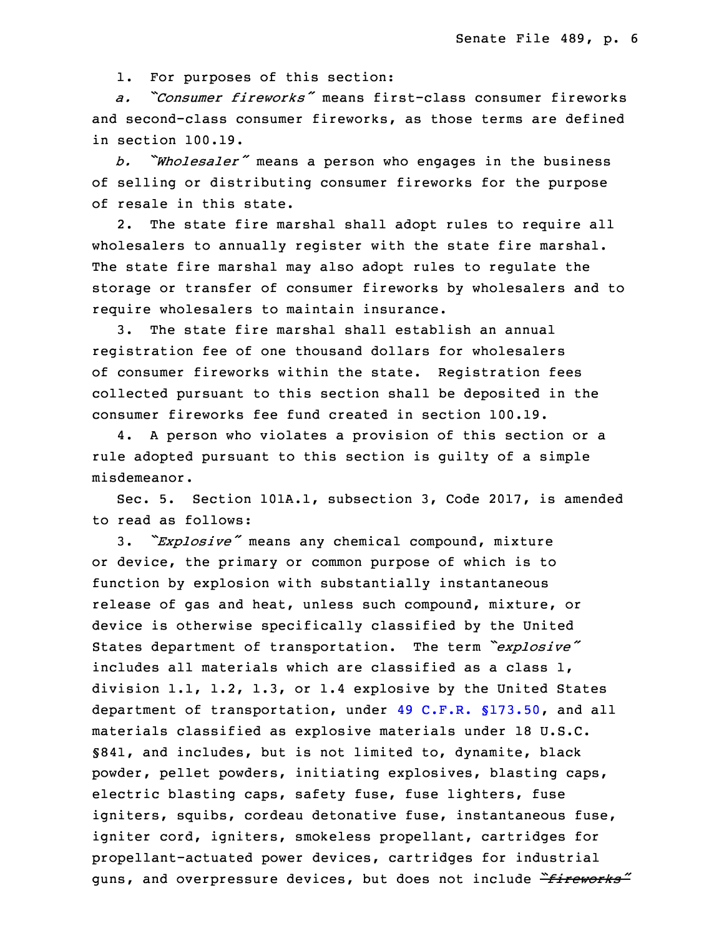1. For purposes of this section:

31 *a. "Consumer fireworks"* means first-class consumer fireworks and second-class consumer fireworks, as those terms are defined in section 100.19.

<sup>34</sup> *b. "Wholesaler"* means <sup>a</sup> person who engages in the business of selling or distributing consumer fireworks for the purpose of resale in this state.

 2. The state fire marshal shall adopt rules to require all wholesalers to annually register with the state fire marshal. The state fire marshal may also adopt rules to regulate the storage or transfer of consumer fireworks by wholesalers and to require wholesalers to maintain insurance.

3. The state fire marshal shall establish an annual registration fee of one thousand dollars for wholesalers of consumer fireworks within the state. Registration fees collected pursuant to this section shall be deposited in the consumer fireworks fee fund created in section 100.19.

 4. <sup>A</sup> person who violates <sup>a</sup> provision of this section or <sup>a</sup> rule adopted pursuant to this section is guilty of a simple misdemeanor.

Sec. 5. Section 101A.1, subsection 3, Code 2017, is amended to read as follows:

3. *"Explosive"* means any chemical compound, mixture or device, the primary or common purpose of which is to function by explosion with substantially instantaneous release of gas and heat, unless such compound, mixture, or device is otherwise specifically classified by the United States department of transportation. The term *"explosive"* includes all materials which are classified as a class  $1$ , division 1.1, 1.2, 1.3, or 1.4 explosive by the United States department of transportation, under 49 C.F.R. [§173.50](https://www.law.cornell.edu/cfr/text/49/173.50), and all materials classified as explosive materials under 18 U.S.C. §841, and includes, but is not limited to, dynamite, black powder, pellet powders, initiating explosives, blasting caps, electric blasting caps, safety fuse, fuse lighters, fuse igniters, squibs, cordeau detonative fuse, instantaneous fuse, igniter cord, igniters, smokeless propellant, cartridges for propellant-actuated power devices, cartridges for industrial <sup>33</sup> guns, and overpressure devices, but does not include *"fireworks"*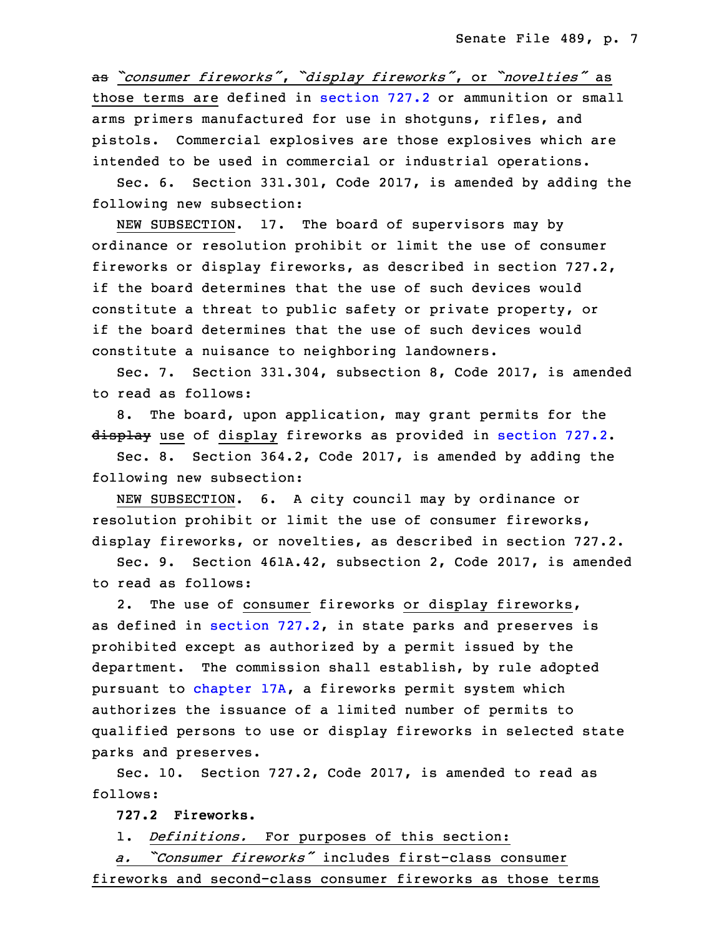<sup>34</sup> as *"consumer fireworks"*, *"display fireworks"*, or *"novelties"* as those terms are defined in [section](https://www.legis.iowa.gov/docs/code/2017/727.2.pdf) 727.2 or ammunition or small arms primers manufactured for use in shotguns, rifles, and pistols. Commercial explosives are those explosives which are intended to be used in commercial or industrial operations.

 Sec. 6. Section 331.301, Code 2017, is amended by adding the 5 following new subsection:

NEW SUBSECTION. 17. The board of supervisors may by ordinance or resolution prohibit or limit the use of consumer fireworks or display fireworks, as described in section 727.2, if the board determines that the use of such devices would constitute a threat to public safety or private property, or if the board determines that the use of such devices would constitute <sup>a</sup> nuisance to neighboring landowners.

Sec. 7. Section 331.304, subsection 8, Code 2017, is amended to read as follows:

8. The board, upon application, may grant permits for the display use of display fireworks as provided in [section](https://www.legis.iowa.gov/docs/code/2017/727.2.pdf) 727.2.

Sec. 8. Section  $364.2$ , Code 2017, is amended by adding the following new subsection:

NEW SUBSECTION. 6. A city council may by ordinance or resolution prohibit or limit the use of consumer fireworks, display fireworks, or novelties, as described in section 727.2.

 Sec. 9. Section 461A.42, subsection 2, Code 2017, is amended to read as follows:

 2. The use of consumer fireworks or display fireworks, as defined in [section](https://www.legis.iowa.gov/docs/code/2017/727.2.pdf) 727.2, in state parks and preserves is prohibited except as authorized by a permit issued by the department. The commission shall establish, by rule adopted pursuant to [chapter](https://www.legis.iowa.gov/docs/code/2017/17A.pdf) 17A, a fireworks permit system which authorizes the issuance of a limited number of permits to qualified persons to use or display fireworks in selected state parks and preserves.

Sec. 10. Section 727.2, Code 2017, is amended to read as follows:

34 **727.2 Fireworks.**

1. *Definitions.* For purposes of this section:

 *a. "Consumer fireworks"* includes first-class consumer fireworks and second-class consumer fireworks as those terms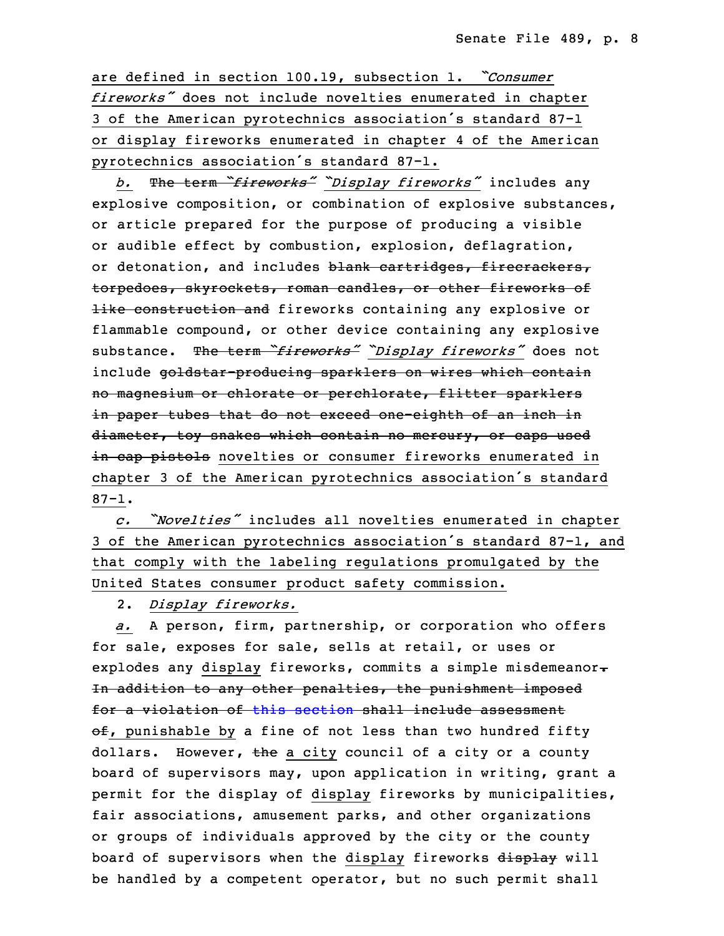are defined in section 100.19, subsection 1. *Consumer fireworks"* does not include novelties enumerated in chapter <sup>5</sup> <sup>3</sup> of the American pyrotechnics association's standard 87-1 or display fireworks enumerated in chapter 4 of the American pyrotechnics association's standard 87-1.

<sup>8</sup> *b.* The term *"fireworks" "Display fireworks"* includes any explosive composition, or combination of explosive substances, or article prepared for the purpose of producing a visible or audible effect by combustion, explosion, deflagration, or detonation, and includes blank cartridges, firecrackers, torpedoes, skyrockets, roman candles, or other fireworks of like construction and fireworks containing any explosive or flammable compound, or other device containing any explosive <sup>16</sup> substance. The term *"fireworks" "Display fireworks"* does not include goldstar-producing sparklers on wires which contain no magnesium or chlorate or perchlorate, flitter sparklers in paper tubes that do not exceed one-eighth of an inch in diameter, toy snakes which contain no mercury, or caps used i<del>n cap pistols</del> novelties or consumer fireworks enumerated in chapter <sup>3</sup> of the American pyrotechnics association's standard  $87 - 1.$ 

 *c. "Novelties"* includes all novelties enumerated in chapter <sup>25</sup> <sup>3</sup> of the American pyrotechnics association's standard 87-1, and that comply with the labeling regulations promulgated by the United States consumer product safety commission.

28 2. *Display fireworks.*

a. A person, firm, partnership, or corporation who offers for sale, exposes for sale, sells at retail, or uses or explodes any display fireworks, commits a simple misdemeanor-In addition to any other penalties, the punishment imposed for a violation of this [section](https://www.legis.iowa.gov/docs/code/2017/727.2.pdf) shall include assessment  $\theta$ . punishable by a fine of not less than two hundred fifty dollars. However, the a city council of a city or a county board of supervisors may, upon application in writing, grant <sup>a</sup> permit for the display of display fireworks by municipalities, fair associations, amusement parks, and other organizations or groups of individuals approved by the city or the county board of supervisors when the display fireworks display will be handled by a competent operator, but no such permit shall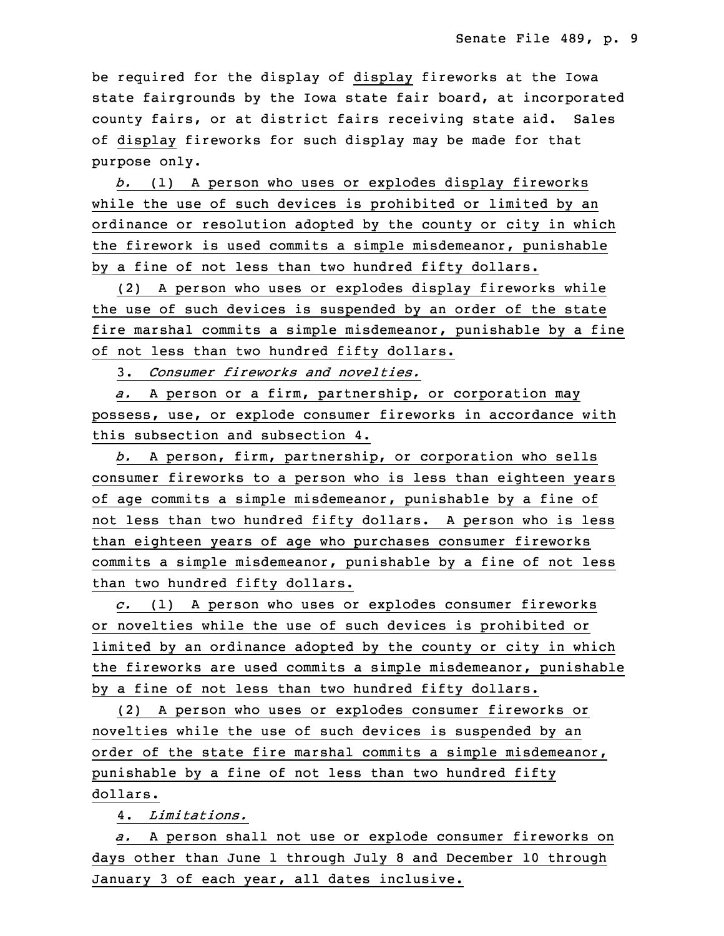be required for the display of display fireworks at the Iowa state fairgrounds by the Iowa state fair board, at incorporated county fairs, or at district fairs receiving state aid. Sales of display fireworks for such display may be made for that purpose only.

 *b.* (1) <sup>A</sup> person who uses or explodes display fireworks while the use of such devices is prohibited or limited by an ordinance or resolution adopted by the county or city in which the firework is used commits a simple misdemeanor, punishable by a fine of not less than two hundred fifty dollars.

(2) A person who uses or explodes display fireworks while the use of such devices is suspended by an order of the state fire marshal commits a simple misdemeanor, punishable by a fine of not less than two hundred fifty dollars.

3. *Consumer fireworks and novelties.*

 *a.* <sup>A</sup> person or <sup>a</sup> firm, partnership, or corporation may possess, use, or explode consumer fireworks in accordance with this subsection and subsection 4.

25 *b.* <sup>A</sup> person, firm, partnership, or corporation who sells 26 consumer fireworks to <sup>a</sup> person who is less than eighteen years of age commits a simple misdemeanor, punishable by a fine of not less than two hundred fifty dollars. A person who is less than eighteen years of age who purchases consumer fireworks commits a simple misdemeanor, punishable by a fine of not less than two hundred fifty dollars.

32 *c.* (1) <sup>A</sup> person who uses or explodes consumer fireworks or novelties while the use of such devices is prohibited or limited by an ordinance adopted by the county or city in which the fireworks are used commits a simple misdemeanor, punishable by <sup>a</sup> fine of not less than two hundred fifty dollars.

 (2) <sup>A</sup> person who uses or explodes consumer fireworks or novelties while the use of such devices is suspended by an order of the state fire marshal commits <sup>a</sup> simple misdemeanor, punishable by a fine of not less than two hundred fifty dollars.

7 4. *Limitations.*

8 *a.* <sup>A</sup> person shall not use or explode consumer fireworks on days other than June 1 through July 8 and December 10 through January 3 of each year, all dates inclusive.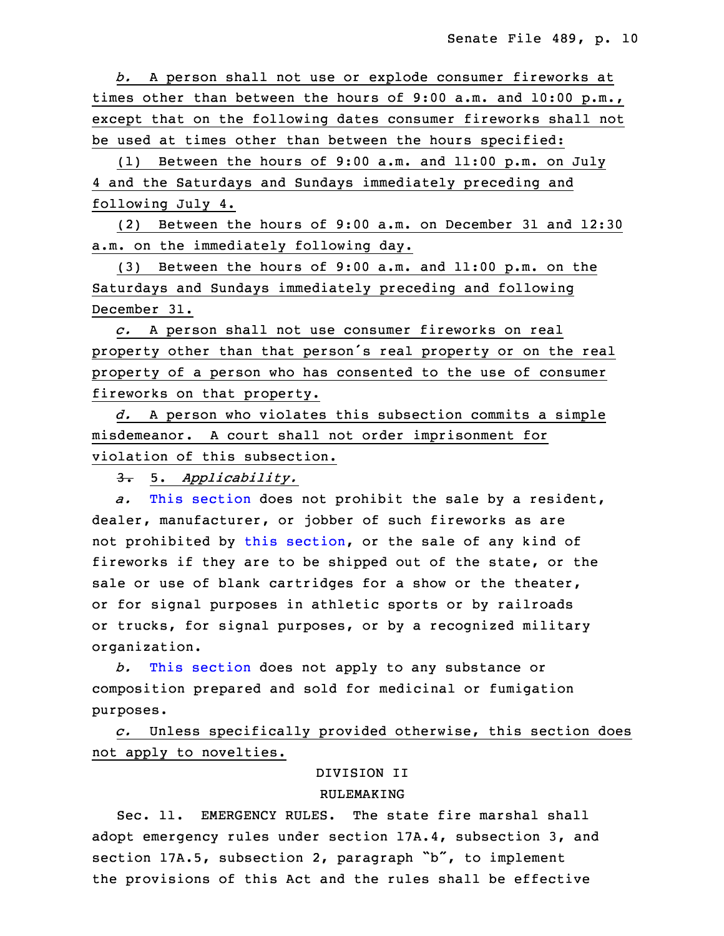*b.* <sup>A</sup> person shall not use or explode consumer fireworks at times other than between the hours of 9:00 a.m. and 10:00 p.m., except that on the following dates consumer fireworks shall not be used at times other than between the hours specified:

(1) Between the hours of 9:00 a.m. and 11:00 p.m. on July 4 and the Saturdays and Sundays immediately preceding and following July 4.

18 (2) Between the hours of 9:00 a.m. on December 31 and 12:30 a.m. on the immediately following day.

(3) Between the hours of 9:00 a.m. and 11:00 p.m. on the Saturdays and Sundays immediately preceding and following December 31.

23 *c.* <sup>A</sup> person shall not use consumer fireworks on real property other than that person's real property or on the real property of a person who has consented to the use of consumer fireworks on that property.

27 *d.* <sup>A</sup> person who violates this subsection commits <sup>a</sup> simple misdemeanor. A court shall not order imprisonment for violation of this subsection.

3. 5. Applicability.

a. This [section](https://www.legis.iowa.gov/docs/code/2017/727.2.pdf) does not prohibit the sale by a resident, dealer, manufacturer, or jobber of such fireworks as are not prohibited by this [section](https://www.legis.iowa.gov/docs/code/2017/727.2.pdf), or the sale of any kind of fireworks if they are to be shipped out of the state, or the sale or use of blank cartridges for a show or the theater, or for signal purposes in athletic sports or by railroads or trucks, for signal purposes, or by <sup>a</sup> recognized military organization.

 *b.* This [section](https://www.legis.iowa.gov/docs/code/2017/727.2.pdf) does not apply to any substance or 5 composition prepared and sold for medicinal or fumigation 6 purposes.

7 *c.* Unless specifically provided otherwise, this section does not apply to novelties.

# 9 DIVISION II

#### **RULEMAKING**

 Sec. 11. EMERGENCY RULES. The state fire marshal shall adopt emergency rules under section 17A.4, subsection 3, and section 17A.5, subsection 2, paragraph "b", to implement the provisions of this Act and the rules shall be effective